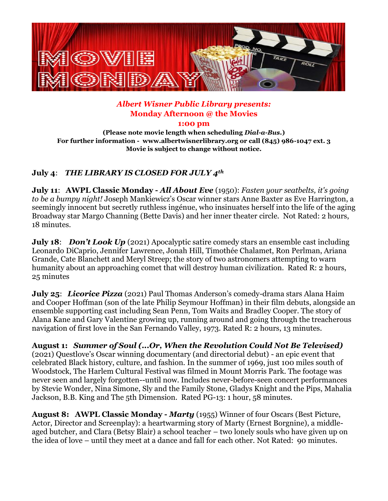

## *Albert Wisner Public Library presents:*  **Monday Afternoon @ the Movies**

**1:00 pm** 

**(Please note movie length when scheduling** *Dial-a-Bus.***) For further information - www.albertwisnerlibrary.org or call (845) 986-1047 ext. 3 Movie is subject to change without notice.**

## **July 4**: *THE LIBRARY IS CLOSED FOR JULY 4th*

**July 11**: **AWPL Classic Monday -** *All About Eve* (1950): *Fasten your seatbelts, it's going to be a bumpy night!* Joseph Mankiewicz's Oscar winner stars Anne Baxter as Eve Harrington, a seemingly innocent but secretly ruthless ingénue, who insinuates herself into the life of the aging Broadway star Margo Channing (Bette Davis) and her inner theater circle. Not Rated: 2 hours, 18 minutes.

**July 18:** *Don't Look Up* (2021) Apocalyptic satire comedy stars an ensemble cast including Leonardo DiCaprio, Jennifer Lawrence, Jonah Hill, Timothée Chalamet, Ron Perlman, Ariana Grande, Cate Blanchett and Meryl Streep; the story of two astronomers attempting to warn humanity about an approaching comet that will destroy human civilization. Rated R: 2 hours, 25 minutes

**July 25:** *Licorice Pizza* (2021) Paul Thomas Anderson's comedy-drama stars Alana Haim and Cooper Hoffman (son of the late Philip Seymour Hoffman) in their film debuts, alongside an ensemble supporting cast including Sean Penn, Tom Waits and Bradley Cooper. The story of Alana Kane and Gary Valentine growing up, running around and going through the treacherous navigation of first love in the San Fernando Valley, 1973. Rated R: 2 hours, 13 minutes.

**August 1:** *Summer of Soul (...Or, When the Revolution Could Not Be Televised)* (2021) Questlove's Oscar winning documentary (and directorial debut) - an epic event that celebrated Black history, culture, and fashion. In the summer of 1969, just 100 miles south of Woodstock, The Harlem Cultural Festival was filmed in Mount Morris Park. The footage was never seen and largely forgotten--until now. Includes never-before-seen concert performances by Stevie Wonder, Nina Simone, Sly and the Family Stone, Gladys Knight and the Pips, Mahalia Jackson, B.B. King and The 5th Dimension. Rated PG-13: 1 hour, 58 minutes.

**August 8:****AWPL Classic Monday -** *Marty* (1955) Winner of four Oscars (Best Picture, Actor, Director and Screenplay): a heartwarming story of Marty (Ernest Borgnine), a middleaged butcher, and Clara (Betsy Blair) a school teacher – two lonely souls who have given up on the idea of love – until they meet at a dance and fall for each other. Not Rated: 90 minutes.